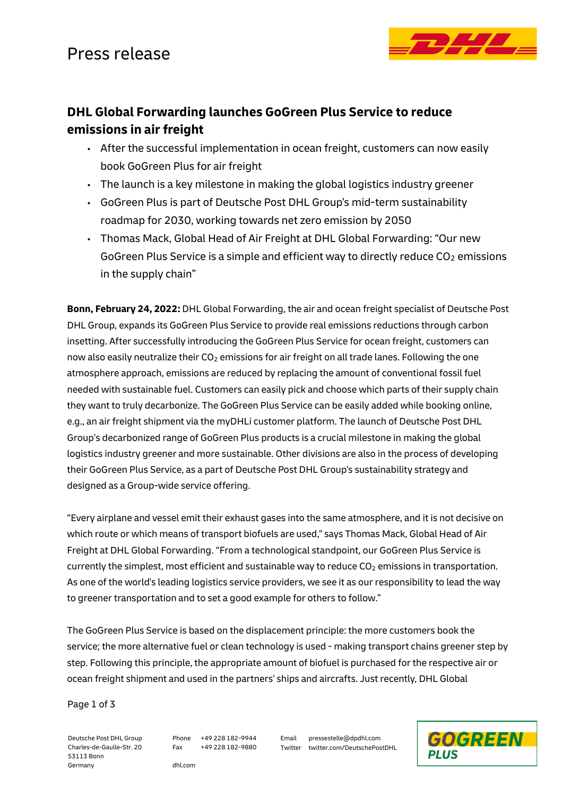

## **DHL Global Forwarding launches GoGreen Plus Service to reduce emissions in air freight**

- After the successful implementation in ocean freight, customers can now easily book GoGreen Plus for air freight
- The launch is a key milestone in making the global logistics industry greener
- GoGreen Plus is part of Deutsche Post DHL Group's mid-term sustainability roadmap for 2030, working towards net zero emission by 2050
- Thomas Mack, Global Head of Air Freight at DHL Global Forwarding: "Our new GoGreen Plus Service is a simple and efficient way to directly reduce  $CO<sub>2</sub>$  emissions in the supply chain"

**Bonn, February 24, 2022:** DHL Global Forwarding, the air and ocean freight specialist of Deutsche Post DHL Group, expands its GoGreen Plus Service to provide real emissions reductions through carbon insetting. After successfully introducing the GoGreen Plus Service for ocean freight, customers can now also easily neutralize their  $CO<sub>2</sub>$  emissions for air freight on all trade lanes. Following the one atmosphere approach, emissions are reduced by replacing the amount of conventional fossil fuel needed with sustainable fuel. Customers can easily pick and choose which parts of their supply chain they want to truly decarbonize. The GoGreen Plus Service can be easily added while booking online, e.g., an air freight shipment via the myDHLi customer platform. The launch of Deutsche Post DHL Group's decarbonized range of GoGreen Plus products is a crucial milestone in making the global logistics industry greener and more sustainable. Other divisions are also in the process of developing their GoGreen Plus Service, as a part of Deutsche Post DHL Group's sustainability strategy and designed as a Group-wide service offering.

"Every airplane and vessel emit their exhaust gases into the same atmosphere, and it is not decisive on which route or which means of transport biofuels are used," says Thomas Mack, Global Head of Air Freight at DHL Global Forwarding. "From a technological standpoint, our GoGreen Plus Service is currently the simplest, most efficient and sustainable way to reduce  $CO<sub>2</sub>$  emissions in transportation. As one of the world's leading logistics service providers, we see it as our responsibility to lead the way to greener transportation and to set a good example for others to follow."

The GoGreen Plus Service is based on the displacement principle: the more customers book the service; the more alternative fuel or clean technology is used - making transport chains greener step by step. Following this principle, the appropriate amount of biofuel is purchased for the respective air or ocean freight shipment and used in the partners' ships and aircrafts. Just recently, DHL Global

Page 1 of 3

Deutsche Post DHL Group Charles-de-Gaulle-Str. 20 53113 Bonn Germany

Phone +49 228 182-9944 Fax +49 228 182-9880 Email pressestelle@dpdhl.com Twitter twitter.com/DeutschePostDHL



dhl.com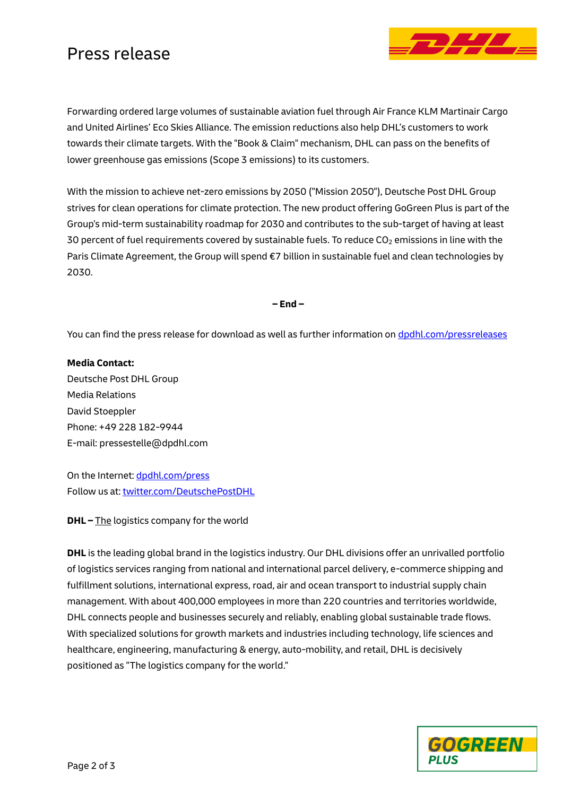## Press release



Forwarding ordered large volumes of sustainable aviation fuel through Air France KLM Martinair Cargo and United Airlines' Eco Skies Alliance. The emission reductions also help DHL's customers to work towards their climate targets. With the "Book & Claim" mechanism, DHL can pass on the benefits of lower greenhouse gas emissions (Scope 3 emissions) to its customers.

With the mission to achieve net-zero emissions by 2050 ("Mission 2050"), Deutsche Post DHL Group strives for clean operations for climate protection. The new product offering GoGreen Plus is part of the Group's mid-term sustainability roadmap for 2030 and contributes to the sub-target of having at least 30 percent of fuel requirements covered by sustainable fuels. To reduce  $CO<sub>2</sub>$  emissions in line with the Paris Climate Agreement, the Group will spend €7 billion in sustainable fuel and clean technologies by 2030.

**– End –**

You can find the press release for download as well as further information on [dpdhl.com/pressreleases](https://www.dpdhl.com/pressreleases)

**Media Contact:** Deutsche Post DHL Group Media Relations David Stoeppler Phone: +49 228 182-9944 E-mail: pressestelle@dpdhl.com

On the Internet: [dpdhl.com/press](https://www.dpdhl.com/press) Follow us at: [twitter.com/DeutschePostDHL](https://www.twitter.com/DeutschePostDHL)

**DHL –** The logistics company for the world

**DHL** is the leading global brand in the logistics industry. Our DHL divisions offer an unrivalled portfolio of logistics services ranging from national and international parcel delivery, e-commerce shipping and fulfillment solutions, international express, road, air and ocean transport to industrial supply chain management. With about 400,000 employees in more than 220 countries and territories worldwide, DHL connects people and businesses securely and reliably, enabling global sustainable trade flows. With specialized solutions for growth markets and industries including technology, life sciences and healthcare, engineering, manufacturing & energy, auto-mobility, and retail, DHL is decisively positioned as "The logistics company for the world."